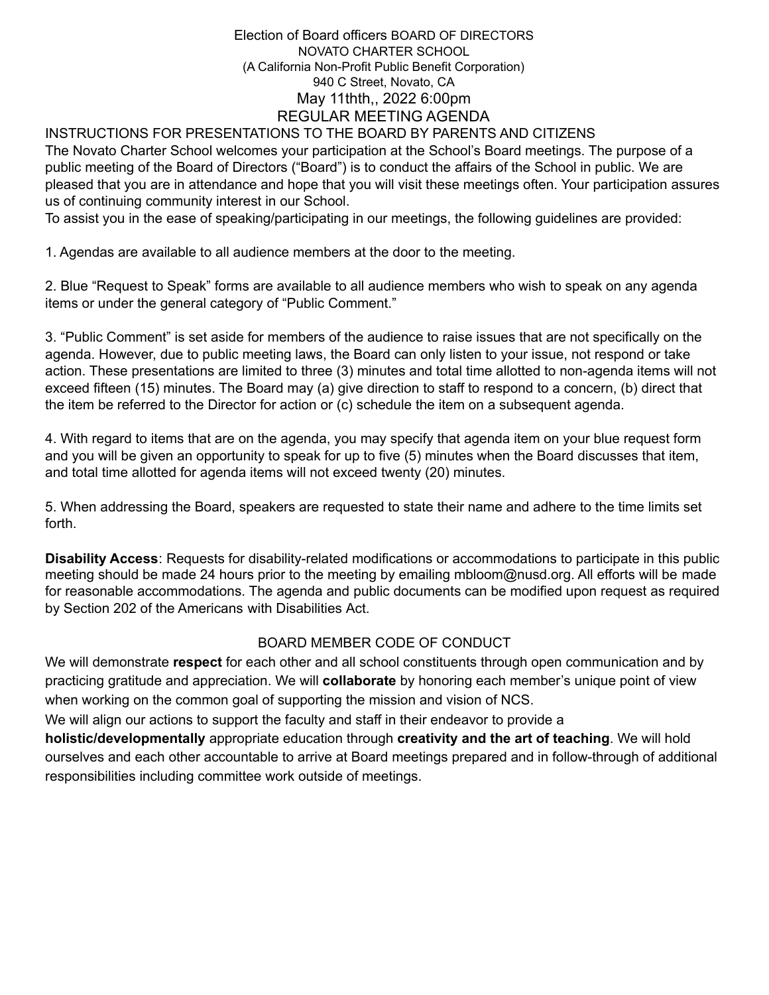#### INSTRUCTIONS FOR PRESENTATIONS TO THE BOARD BY PARENTS AND CITIZENS

The Novato Charter School welcomes your participation at the School's Board meetings. The purpose of a public meeting of the Board of Directors ("Board") is to conduct the affairs of the School in public. We are pleased that you are in attendance and hope that you will visit these meetings often. Your participation assures us of continuing community interest in our School.

To assist you in the ease of speaking/participating in our meetings, the following guidelines are provided:

1. Agendas are available to all audience members at the door to the meeting.

2. Blue "Request to Speak" forms are available to all audience members who wish to speak on any agenda items or under the general category of "Public Comment."

3. "Public Comment" is set aside for members of the audience to raise issues that are not specifically on the agenda. However, due to public meeting laws, the Board can only listen to your issue, not respond or take action. These presentations are limited to three (3) minutes and total time allotted to non-agenda items will not exceed fifteen (15) minutes. The Board may (a) give direction to staff to respond to a concern, (b) direct that the item be referred to the Director for action or (c) schedule the item on a subsequent agenda.

4. With regard to items that are on the agenda, you may specify that agenda item on your blue request form and you will be given an opportunity to speak for up to five (5) minutes when the Board discusses that item, and total time allotted for agenda items will not exceed twenty (20) minutes.

5. When addressing the Board, speakers are requested to state their name and adhere to the time limits set forth.

**Disability Access**: Requests for disability-related modifications or accommodations to participate in this public meeting should be made 24 hours prior to the meeting by emailing mbloom@nusd.org. All efforts will be made for reasonable accommodations. The agenda and public documents can be modified upon request as required by Section 202 of the Americans with Disabilities Act.

### BOARD MEMBER CODE OF CONDUCT

We will demonstrate **respect** for each other and all school constituents through open communication and by practicing gratitude and appreciation. We will **collaborate** by honoring each member's unique point of view when working on the common goal of supporting the mission and vision of NCS.

We will align our actions to support the faculty and staff in their endeavor to provide a

**holistic/developmentally** appropriate education through **creativity and the art of teaching**. We will hold ourselves and each other accountable to arrive at Board meetings prepared and in follow-through of additional responsibilities including committee work outside of meetings.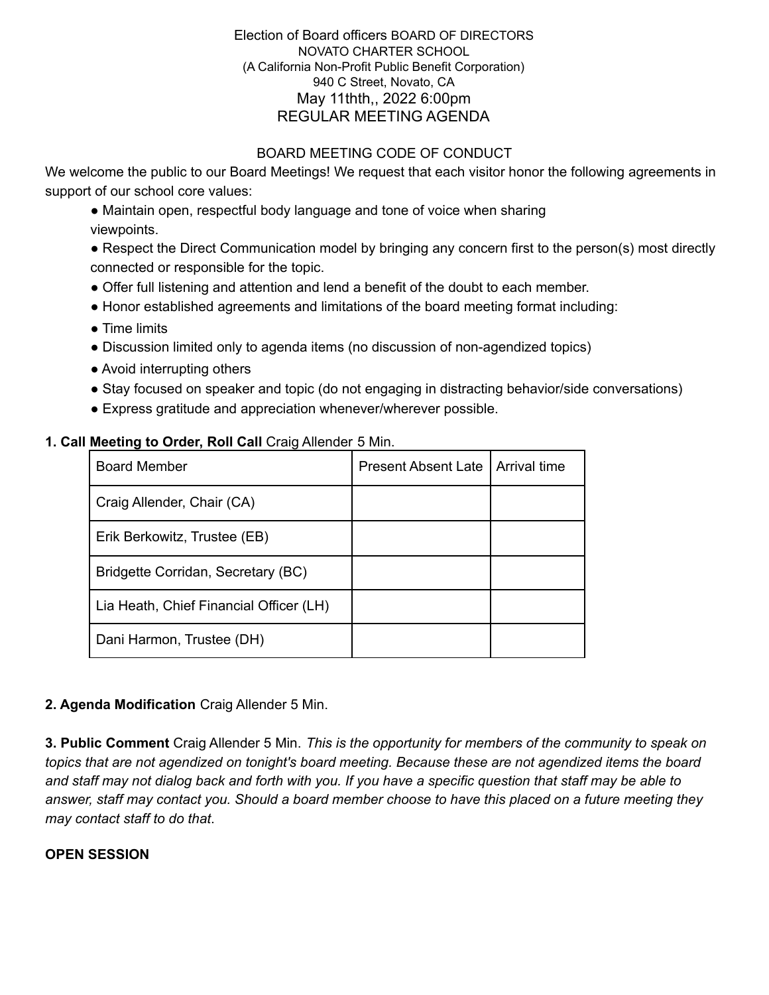## BOARD MEETING CODE OF CONDUCT

We welcome the public to our Board Meetings! We request that each visitor honor the following agreements in support of our school core values:

• Maintain open, respectful body language and tone of voice when sharing viewpoints.

• Respect the Direct Communication model by bringing any concern first to the person(s) most directly connected or responsible for the topic.

- Offer full listening and attention and lend a benefit of the doubt to each member.
- Honor established agreements and limitations of the board meeting format including:
- Time limits
- Discussion limited only to agenda items (no discussion of non-agendized topics)
- Avoid interrupting others
- Stay focused on speaker and topic (do not engaging in distracting behavior/side conversations)
- Express gratitude and appreciation whenever/wherever possible.

### **1. Call Meeting to Order, Roll Call** Craig Allender 5 Min.

| <b>Board Member</b>                     | <b>Present Absent Late</b> | Arrival time |
|-----------------------------------------|----------------------------|--------------|
| Craig Allender, Chair (CA)              |                            |              |
| Erik Berkowitz, Trustee (EB)            |                            |              |
| Bridgette Corridan, Secretary (BC)      |                            |              |
| Lia Heath, Chief Financial Officer (LH) |                            |              |
| Dani Harmon, Trustee (DH)               |                            |              |

# **2. Agenda Modification** Craig Allender 5 Min.

**3. Public Comment** Craig Allender 5 Min. *This is the opportunity for members of the community to speak on topics that are not agendized on tonight's board meeting. Because these are not agendized items the board* and staff may not dialog back and forth with you. If you have a specific question that staff may be able to answer, staff may contact you. Should a board member choose to have this placed on a future meeting they *may contact staff to do that*.

### **OPEN SESSION**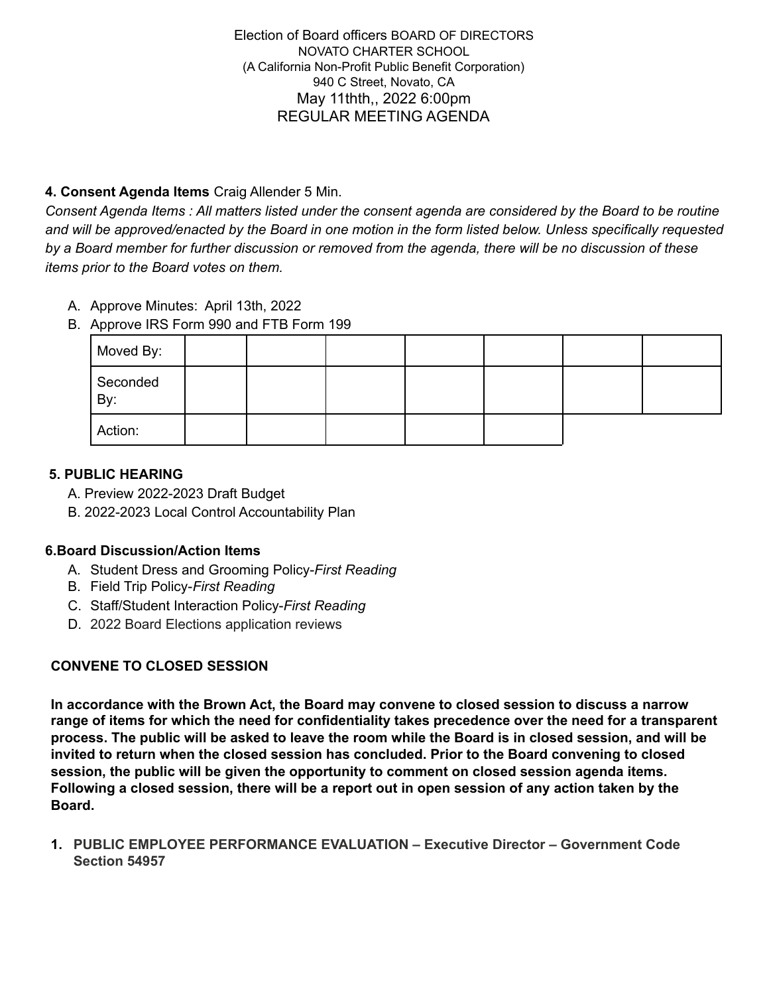## **4. Consent Agenda Items** Craig Allender 5 Min.

Consent Agenda Items : All matters listed under the consent agenda are considered by the Board to be routine and will be approved/enacted by the Board in one motion in the form listed below. Unless specifically requested by a Board member for further discussion or removed from the agenda, there will be no discussion of these *items prior to the Board votes on them.*

- A. Approve Minutes: April 13th, 2022
- B. Approve IRS Form 990 and FTB Form 199

| Moved By:       |  |  |  |  |
|-----------------|--|--|--|--|
| Seconded<br>By: |  |  |  |  |
| Action:         |  |  |  |  |

### **5. PUBLIC HEARING**

- A. Preview 2022-2023 Draft Budget
- B. 2022-2023 Local Control Accountability Plan

### **6.Board Discussion/Action Items**

- A. Student Dress and Grooming Policy-*First Reading*
- B. Field Trip Policy-*First Reading*
- C. Staff/Student Interaction Policy-*First Reading*
- D. 2022 Board Elections application reviews

# **CONVENE TO CLOSED SESSION**

**In accordance with the Brown Act, the Board may convene to closed session to discuss a narrow range of items for which the need for confidentiality takes precedence over the need for a transparent** process. The public will be asked to leave the room while the Board is in closed session, and will be **invited to return when the closed session has concluded. Prior to the Board convening to closed session, the public will be given the opportunity to comment on closed session agenda items.** Following a closed session, there will be a report out in open session of any action taken by the **Board.**

**1. PUBLIC EMPLOYEE PERFORMANCE EVALUATION – Executive Director – Government Code Section 54957**